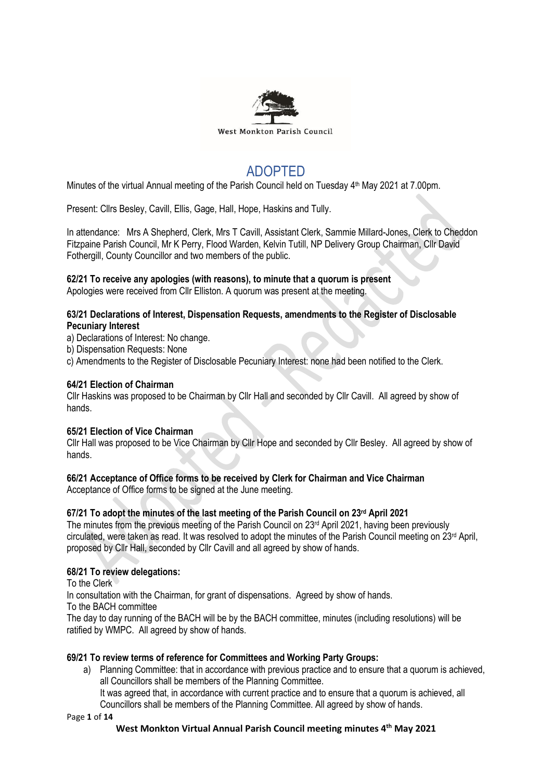

# ADOPTED

Minutes of the virtual Annual meeting of the Parish Council held on Tuesday 4<sup>th</sup> May 2021 at 7.00pm.

Present: Cllrs Besley, Cavill, Ellis, Gage, Hall, Hope, Haskins and Tully.

In attendance: Mrs A Shepherd, Clerk, Mrs T Cavill, Assistant Clerk, Sammie Millard-Jones, Clerk to Cheddon Fitzpaine Parish Council, Mr K Perry, Flood Warden, Kelvin Tutill, NP Delivery Group Chairman, Cllr David Fothergill, County Councillor and two members of the public.

**62/21 To receive any apologies (with reasons), to minute that a quorum is present** Apologies were received from Cllr Elliston. A quorum was present at the meeting.

#### **63/21 Declarations of Interest, Dispensation Requests, amendments to the Register of Disclosable Pecuniary Interest**

- a) Declarations of Interest: No change.
- b) Dispensation Requests: None
- c) Amendments to the Register of Disclosable Pecuniary Interest: none had been notified to the Clerk.

#### **64/21 Election of Chairman**

Cllr Haskins was proposed to be Chairman by Cllr Hall and seconded by Cllr Cavill. All agreed by show of hands.

#### **65/21 Election of Vice Chairman**

Cllr Hall was proposed to be Vice Chairman by Cllr Hope and seconded by Cllr Besley. All agreed by show of hands.

## **66/21 Acceptance of Office forms to be received by Clerk for Chairman and Vice Chairman**

Acceptance of Office forms to be signed at the June meeting.

## **67/21 To adopt the minutes of the last meeting of the Parish Council on 23rd April 2021**

The minutes from the previous meeting of the Parish Council on  $23<sup>rd</sup>$  April 2021, having been previously circulated, were taken as read. It was resolved to adopt the minutes of the Parish Council meeting on 23rd April, proposed by Cllr Hall, seconded by Cllr Cavill and all agreed by show of hands.

## **68/21 To review delegations:**

To the Clerk

In consultation with the Chairman, for grant of dispensations. Agreed by show of hands.

To the BACH committee

The day to day running of the BACH will be by the BACH committee, minutes (including resolutions) will be ratified by WMPC. All agreed by show of hands.

#### **69/21 To review terms of reference for Committees and Working Party Groups:**

a) Planning Committee: that in accordance with previous practice and to ensure that a quorum is achieved, all Councillors shall be members of the Planning Committee. It was agreed that, in accordance with current practice and to ensure that a quorum is achieved, all

Councillors shall be members of the Planning Committee. All agreed by show of hands.

Page **1** of **14**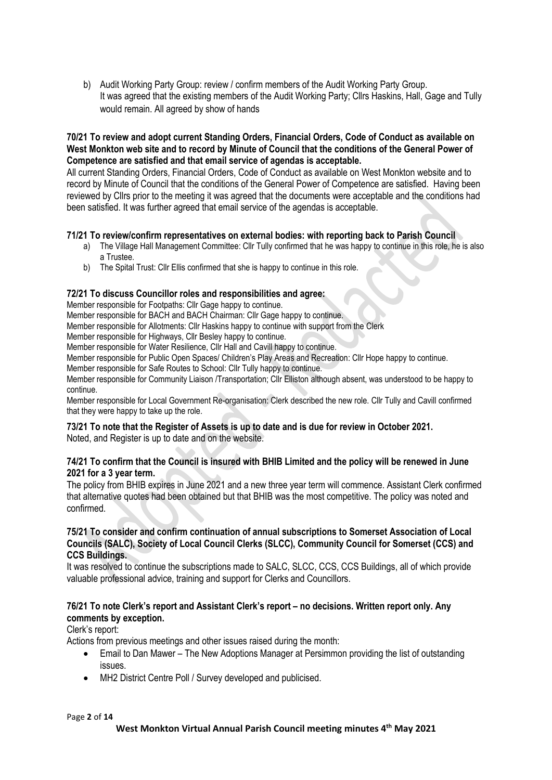b) Audit Working Party Group: review / confirm members of the Audit Working Party Group. It was agreed that the existing members of the Audit Working Party; Cllrs Haskins, Hall, Gage and Tully would remain. All agreed by show of hands

#### **70/21 To review and adopt current Standing Orders, Financial Orders, Code of Conduct as available on West Monkton web site and to record by Minute of Council that the conditions of the General Power of Competence are satisfied and that email service of agendas is acceptable.**

All current Standing Orders, Financial Orders, Code of Conduct as available on West Monkton website and to record by Minute of Council that the conditions of the General Power of Competence are satisfied. Having been reviewed by Cllrs prior to the meeting it was agreed that the documents were acceptable and the conditions had been satisfied. It was further agreed that email service of the agendas is acceptable.

#### **71/21 To review/confirm representatives on external bodies: with reporting back to Parish Council**

- a) The Village Hall Management Committee: Cllr Tully confirmed that he was happy to continue in this role, he is also a Trustee.
- b) The Spital Trust: Cllr Ellis confirmed that she is happy to continue in this role.

#### **72/21 To discuss Councillor roles and responsibilities and agree:**

Member responsible for Footpaths: Cllr Gage happy to continue.

Member responsible for BACH and BACH Chairman: Cllr Gage happy to continue.

Member responsible for Allotments: Cllr Haskins happy to continue with support from the Clerk

Member responsible for Highways, Cllr Besley happy to continue.

Member responsible for Water Resilience, Cllr Hall and Cavill happy to continue.

Member responsible for Public Open Spaces/ Children's Play Areas and Recreation: Cllr Hope happy to continue.

Member responsible for Safe Routes to School: Cllr Tully happy to continue.

Member responsible for Community Liaison /Transportation; Cllr Elliston although absent, was understood to be happy to continue.

Member responsible for Local Government Re-organisation: Clerk described the new role. Cllr Tully and Cavill confirmed that they were happy to take up the role.

#### **73/21 To note that the Register of Assets is up to date and is due for review in October 2021.** Noted, and Register is up to date and on the website.

#### **74/21 To confirm that the Council is insured with BHIB Limited and the policy will be renewed in June 2021 for a 3 year term.**

The policy from BHIB expires in June 2021 and a new three year term will commence. Assistant Clerk confirmed that alternative quotes had been obtained but that BHIB was the most competitive. The policy was noted and confirmed.

#### **75/21 To consider and confirm continuation of annual subscriptions to Somerset Association of Local Councils (SALC), Society of Local Council Clerks (SLCC), Community Council for Somerset (CCS) and CCS Buildings.**

It was resolved to continue the subscriptions made to SALC, SLCC, CCS, CCS Buildings, all of which provide valuable professional advice, training and support for Clerks and Councillors.

## **76/21 To note Clerk's report and Assistant Clerk's report – no decisions. Written report only. Any comments by exception.**

## Clerk's report:

Actions from previous meetings and other issues raised during the month:

- Email to Dan Mawer The New Adoptions Manager at Persimmon providing the list of outstanding issues.
- MH<sub>2</sub> District Centre Poll / Survey developed and publicised.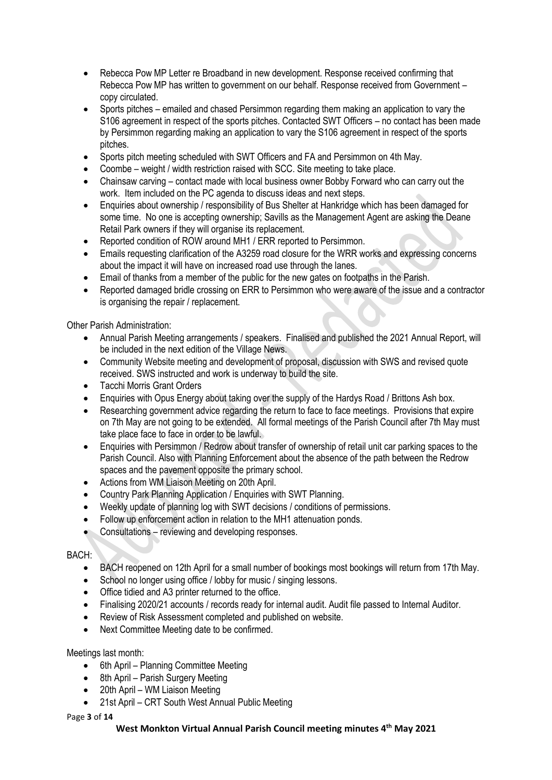- Rebecca Pow MP Letter re Broadband in new development. Response received confirming that Rebecca Pow MP has written to government on our behalf. Response received from Government – copy circulated.
- Sports pitches emailed and chased Persimmon regarding them making an application to vary the S106 agreement in respect of the sports pitches. Contacted SWT Officers – no contact has been made by Persimmon regarding making an application to vary the S106 agreement in respect of the sports pitches.
- Sports pitch meeting scheduled with SWT Officers and FA and Persimmon on 4th May.
- Coombe weight / width restriction raised with SCC. Site meeting to take place.
- Chainsaw carving contact made with local business owner Bobby Forward who can carry out the work. Item included on the PC agenda to discuss ideas and next steps.
- Enquiries about ownership / responsibility of Bus Shelter at Hankridge which has been damaged for some time. No one is accepting ownership; Savills as the Management Agent are asking the Deane Retail Park owners if they will organise its replacement.
- Reported condition of ROW around MH1 / ERR reported to Persimmon.
- Emails requesting clarification of the A3259 road closure for the WRR works and expressing concerns about the impact it will have on increased road use through the lanes.
- Email of thanks from a member of the public for the new gates on footpaths in the Parish.
- Reported damaged bridle crossing on ERR to Persimmon who were aware of the issue and a contractor is organising the repair / replacement.

Other Parish Administration:

- Annual Parish Meeting arrangements / speakers. Finalised and published the 2021 Annual Report, will be included in the next edition of the Village News.
- Community Website meeting and development of proposal, discussion with SWS and revised quote received. SWS instructed and work is underway to build the site.
- Tacchi Morris Grant Orders
- Enquiries with Opus Energy about taking over the supply of the Hardys Road / Brittons Ash box.
- Researching government advice regarding the return to face to face meetings. Provisions that expire on 7th May are not going to be extended. All formal meetings of the Parish Council after 7th May must take place face to face in order to be lawful.
- Enquiries with Persimmon / Redrow about transfer of ownership of retail unit car parking spaces to the Parish Council. Also with Planning Enforcement about the absence of the path between the Redrow spaces and the pavement opposite the primary school.
- Actions from WM Liaison Meeting on 20th April.
- Country Park Planning Application / Enquiries with SWT Planning.
- Weekly update of planning log with SWT decisions / conditions of permissions.
- Follow up enforcement action in relation to the MH1 attenuation ponds.
- Consultations reviewing and developing responses.

## BACH:

- BACH reopened on 12th April for a small number of bookings most bookings will return from 17th May.
- School no longer using office / lobby for music / singing lessons.
- Office tidied and A3 printer returned to the office.
- Finalising 2020/21 accounts / records ready for internal audit. Audit file passed to Internal Auditor.
- Review of Risk Assessment completed and published on website.
- Next Committee Meeting date to be confirmed.

Meetings last month:

- 6th April Planning Committee Meeting
- 8th April Parish Surgery Meeting
- 20th April WM Liaison Meeting
- 21st April CRT South West Annual Public Meeting

#### Page **3** of **14**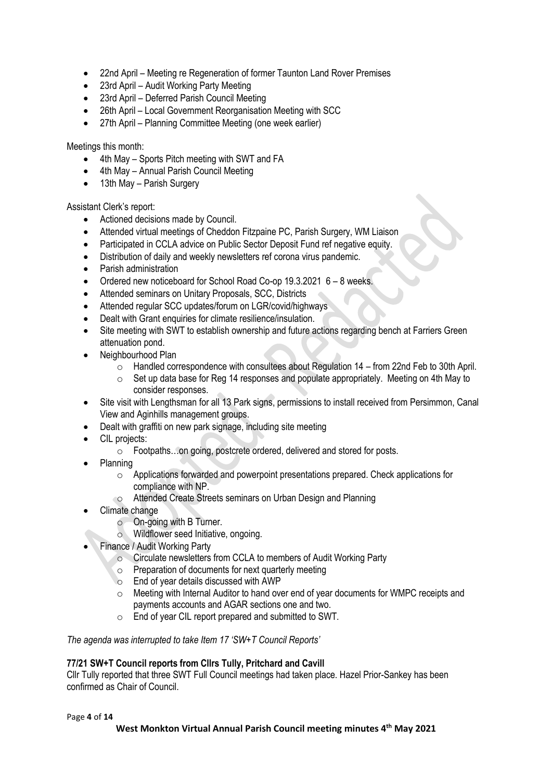- 22nd April Meeting re Regeneration of former Taunton Land Rover Premises
- 23rd April Audit Working Party Meeting
- 23rd April Deferred Parish Council Meeting
- 26th April Local Government Reorganisation Meeting with SCC
- 27th April Planning Committee Meeting (one week earlier)

Meetings this month:

- 4th May Sports Pitch meeting with SWT and FA
- 4th May Annual Parish Council Meeting
- 13th May Parish Surgery

Assistant Clerk's report:

- Actioned decisions made by Council.
- Attended virtual meetings of Cheddon Fitzpaine PC, Parish Surgery, WM Liaison
- Participated in CCLA advice on Public Sector Deposit Fund ref negative equity.
- Distribution of daily and weekly newsletters ref corona virus pandemic.
- Parish administration
- Ordered new noticeboard for School Road Co-op 19.3.2021 6 8 weeks.
- Attended seminars on Unitary Proposals, SCC, Districts
- Attended regular SCC updates/forum on LGR/covid/highways
- Dealt with Grant enquiries for climate resilience/insulation.
- Site meeting with SWT to establish ownership and future actions regarding bench at Farriers Green attenuation pond.
- Neighbourhood Plan
	- o Handled correspondence with consultees about Regulation 14 from 22nd Feb to 30th April.
	- o Set up data base for Reg 14 responses and populate appropriately. Meeting on 4th May to consider responses.
- Site visit with Lengthsman for all 13 Park signs, permissions to install received from Persimmon, Canal View and Aginhills management groups.
- Dealt with graffiti on new park signage, including site meeting
- CIL projects:
	- o Footpaths…on going, postcrete ordered, delivered and stored for posts.
- Planning
	- o Applications forwarded and powerpoint presentations prepared. Check applications for compliance with NP.
	- o Attended Create Streets seminars on Urban Design and Planning
- Climate change
	- o On-going with B Turner.
	- o Wildflower seed Initiative, ongoing.
	- Finance / Audit Working Party
		- o Circulate newsletters from CCLA to members of Audit Working Party
		- $\circ$  Preparation of documents for next quarterly meeting
		- o End of year details discussed with AWP
		- $\circ$  Meeting with Internal Auditor to hand over end of year documents for WMPC receipts and payments accounts and AGAR sections one and two.
		- o End of year CIL report prepared and submitted to SWT.

*The agenda was interrupted to take Item 17 'SW+T Council Reports'*

#### **77/21 SW+T Council reports from Cllrs Tully, Pritchard and Cavill**

Cllr Tully reported that three SWT Full Council meetings had taken place. Hazel Prior-Sankey has been confirmed as Chair of Council.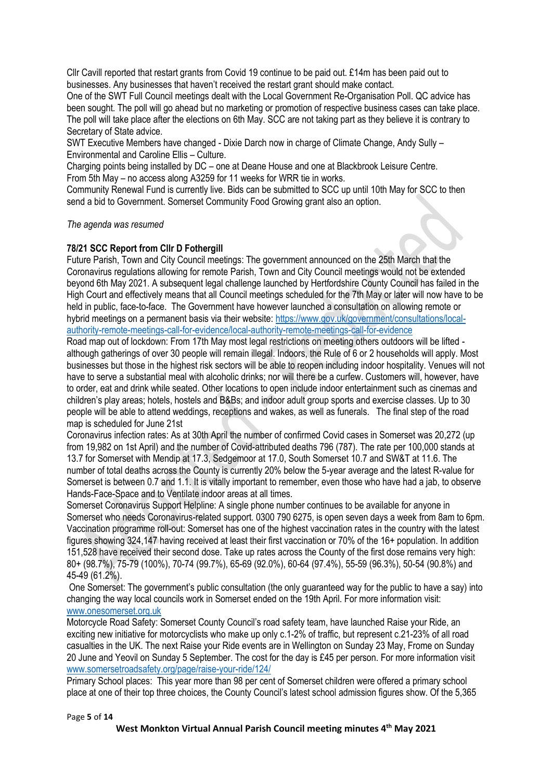Cllr Cavill reported that restart grants from Covid 19 continue to be paid out. £14m has been paid out to businesses. Any businesses that haven't received the restart grant should make contact.

One of the SWT Full Council meetings dealt with the Local Government Re-Organisation Poll. QC advice has been sought. The poll will go ahead but no marketing or promotion of respective business cases can take place. The poll will take place after the elections on 6th May. SCC are not taking part as they believe it is contrary to Secretary of State advice.

SWT Executive Members have changed - Dixie Darch now in charge of Climate Change, Andy Sully – Environmental and Caroline Ellis – Culture.

Charging points being installed by DC – one at Deane House and one at Blackbrook Leisure Centre. From 5th May – no access along A3259 for 11 weeks for WRR tie in works.

Community Renewal Fund is currently live. Bids can be submitted to SCC up until 10th May for SCC to then send a bid to Government. Somerset Community Food Growing grant also an option.

*The agenda was resumed*

#### **78/21 SCC Report from Cllr D Fothergill**

Future Parish, Town and City Council meetings: The government announced on the 25th March that the Coronavirus regulations allowing for remote Parish, Town and City Council meetings would not be extended beyond 6th May 2021. A subsequent legal challenge launched by Hertfordshire County Council has failed in the High Court and effectively means that all Council meetings scheduled for the 7th May or later will now have to be held in public, face-to-face. The Government have however launched a consultation on allowing remote or hybrid meetings on a permanent basis via their website: [https://www.gov.uk/government/consultations/local](https://www.gov.uk/government/consultations/local-authority-remote-meetings-call-for-evidence/local-authority-remote-meetings-call-for-evidence)[authority-remote-meetings-call-for-evidence/local-authority-remote-meetings-call-for-evidence](https://www.gov.uk/government/consultations/local-authority-remote-meetings-call-for-evidence/local-authority-remote-meetings-call-for-evidence)

Road map out of lockdown: From 17th May most legal restrictions on meeting others outdoors will be lifted although gatherings of over 30 people will remain illegal. Indoors, the Rule of 6 or 2 households will apply. Most businesses but those in the highest risk sectors will be able to reopen including indoor hospitality. Venues will not have to serve a substantial meal with alcoholic drinks; nor will there be a curfew. Customers will, however, have to order, eat and drink while seated. Other locations to open include indoor entertainment such as cinemas and children's play areas; hotels, hostels and B&Bs; and indoor adult group sports and exercise classes. Up to 30 people will be able to attend weddings, receptions and wakes, as well as funerals. The final step of the road map is scheduled for June 21st

Coronavirus infection rates: As at 30th April the number of confirmed Covid cases in Somerset was 20,272 (up from 19,982 on 1st April) and the number of Covid-attributed deaths 796 (787). The rate per 100,000 stands at 13.7 for Somerset with Mendip at 17.3, Sedgemoor at 17.0, South Somerset 10.7 and SW&T at 11.6. The number of total deaths across the County is currently 20% below the 5-year average and the latest R-value for Somerset is between 0.7 and 1.1. It is vitally important to remember, even those who have had a jab, to observe Hands-Face-Space and to Ventilate indoor areas at all times.

Somerset Coronavirus Support Helpline: A single phone number continues to be available for anyone in Somerset who needs Coronavirus-related support. 0300 790 6275, is open seven days a week from 8am to 6pm. Vaccination programme roll-out: Somerset has one of the highest vaccination rates in the country with the latest figures showing 324,147 having received at least their first vaccination or 70% of the 16+ population. In addition 151,528 have received their second dose. Take up rates across the County of the first dose remains very high: 80+ (98.7%), 75-79 (100%), 70-74 (99.7%), 65-69 (92.0%), 60-64 (97.4%), 55-59 (96.3%), 50-54 (90.8%) and 45-49 (61.2%).

One Somerset: The government's public consultation (the only guaranteed way for the public to have a say) into changing the way local councils work in Somerset ended on the 19th April. For more information visit: [www.onesomerset.org.uk](http://www.onesomerset.org.uk/)

Motorcycle Road Safety: Somerset County Council's road safety team, have launched Raise your Ride, an exciting new initiative for motorcyclists who make up only c.1-2% of traffic, but represent c.21-23% of all road casualties in the UK. The next Raise your Ride events are in Wellington on Sunday 23 May, Frome on Sunday 20 June and Yeovil on Sunday 5 September. The cost for the day is £45 per person. For more information visit [www.somersetroadsafety.org/page/raise-your-ride/124/](http://www.somersetroadsafety.org/page/raise-your-ride/124/)

Primary School places: This year more than 98 per cent of Somerset children were offered a primary school place at one of their top three choices, the County Council's latest school admission figures show. Of the 5,365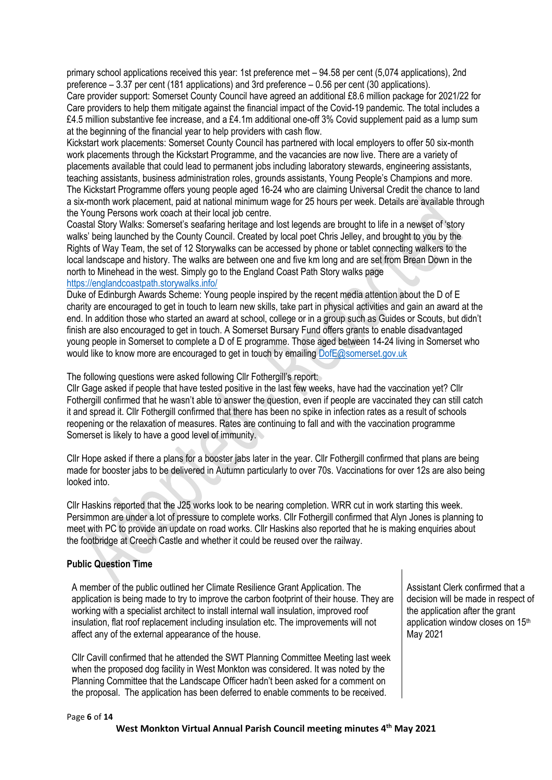primary school applications received this year: 1st preference met – 94.58 per cent (5,074 applications), 2nd preference – 3.37 per cent (181 applications) and 3rd preference – 0.56 per cent (30 applications).

Care provider support: Somerset County Council have agreed an additional £8.6 million package for 2021/22 for Care providers to help them mitigate against the financial impact of the Covid-19 pandemic. The total includes a £4.5 million substantive fee increase, and a £4.1m additional one-off 3% Covid supplement paid as a lump sum at the beginning of the financial year to help providers with cash flow.

Kickstart work placements: Somerset County Council has partnered with local employers to offer 50 six-month work placements through the Kickstart Programme, and the vacancies are now live. There are a variety of placements available that could lead to permanent jobs including laboratory stewards, engineering assistants, teaching assistants, business administration roles, grounds assistants, Young People's Champions and more. The Kickstart Programme offers young people aged 16-24 who are claiming Universal Credit the chance to land a six-month work placement, paid at national minimum wage for 25 hours per week. Details are available through the Young Persons work coach at their local job centre.

Coastal Story Walks: Somerset's seafaring heritage and lost legends are brought to life in a newset of 'story walks' being launched by the County Council. Created by local poet Chris Jelley, and brought to you by the Rights of Way Team, the set of 12 Storywalks can be accessed by phone or tablet connecting walkers to the local landscape and history. The walks are between one and five km long and are set from Brean Down in the north to Minehead in the west. Simply go to the England Coast Path Story walks page <https://englandcoastpath.storywalks.info/>

Duke of Edinburgh Awards Scheme: Young people inspired by the recent media attention about the D of E charity are encouraged to get in touch to learn new skills, take part in physical activities and gain an award at the end. In addition those who started an award at school, college or in a group such as Guides or Scouts, but didn't finish are also encouraged to get in touch. A Somerset Bursary Fund offers grants to enable disadvantaged young people in Somerset to complete a D of E programme. Those aged between 14-24 living in Somerset who would like to know more are encouraged to get in touch by emailing [DofE@somerset.gov.uk](mailto:DofE@somerset.gov.uk)

The following questions were asked following Cllr Fothergill's report:

Cllr Gage asked if people that have tested positive in the last few weeks, have had the vaccination yet? Cllr Fothergill confirmed that he wasn't able to answer the question, even if people are vaccinated they can still catch it and spread it. Cllr Fothergill confirmed that there has been no spike in infection rates as a result of schools reopening or the relaxation of measures. Rates are continuing to fall and with the vaccination programme Somerset is likely to have a good level of immunity.

Cllr Hope asked if there a plans for a booster jabs later in the year. Cllr Fothergill confirmed that plans are being made for booster jabs to be delivered in Autumn particularly to over 70s. Vaccinations for over 12s are also being looked into.

Cllr Haskins reported that the J25 works look to be nearing completion. WRR cut in work starting this week. Persimmon are under a lot of pressure to complete works. Cllr Fothergill confirmed that Alyn Jones is planning to meet with PC to provide an update on road works. Cllr Haskins also reported that he is making enquiries about the footbridge at Creech Castle and whether it could be reused over the railway.

#### **Public Question Time**

A member of the public outlined her Climate Resilience Grant Application. The application is being made to try to improve the carbon footprint of their house. They are working with a specialist architect to install internal wall insulation, improved roof insulation, flat roof replacement including insulation etc. The improvements will not affect any of the external appearance of the house.

Cllr Cavill confirmed that he attended the SWT Planning Committee Meeting last week when the proposed dog facility in West Monkton was considered. It was noted by the Planning Committee that the Landscape Officer hadn't been asked for a comment on the proposal. The application has been deferred to enable comments to be received.

Assistant Clerk confirmed that a decision will be made in respect of the application after the grant application window closes on 15th May 2021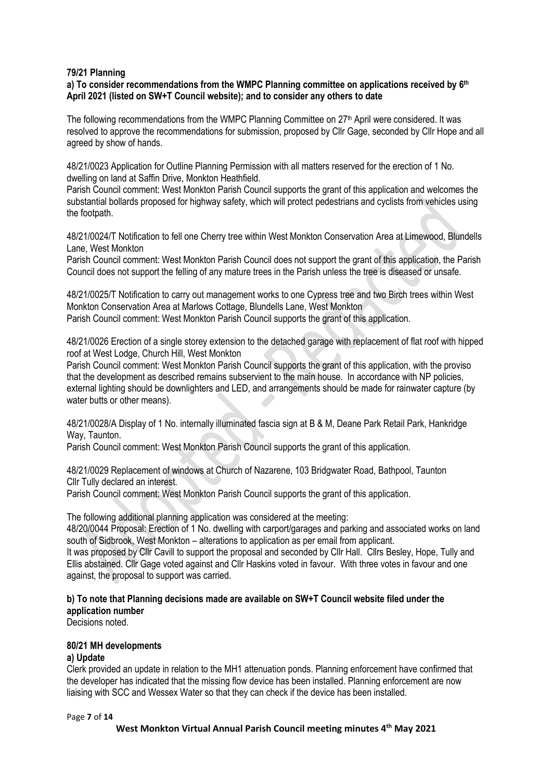#### **79/21 Planning**

#### **a) To consider recommendations from the WMPC Planning committee on applications received by 6 th April 2021 (listed on SW+T Council website); and to consider any others to date**

The following recommendations from the WMPC Planning Committee on 27th April were considered. It was resolved to approve the recommendations for submission, proposed by Cllr Gage, seconded by Cllr Hope and all agreed by show of hands.

48/21/0023 Application for Outline Planning Permission with all matters reserved for the erection of 1 No. dwelling on land at Saffin Drive, Monkton Heathfield.

Parish Council comment: West Monkton Parish Council supports the grant of this application and welcomes the substantial bollards proposed for highway safety, which will protect pedestrians and cyclists from vehicles using the footpath.

48/21/0024/T Notification to fell one Cherry tree within West Monkton Conservation Area at Limewood, Blundells Lane, West Monkton

Parish Council comment: West Monkton Parish Council does not support the grant of this application, the Parish Council does not support the felling of any mature trees in the Parish unless the tree is diseased or unsafe.

48/21/0025/T Notification to carry out management works to one Cypress tree and two Birch trees within West Monkton Conservation Area at Marlows Cottage, Blundells Lane, West Monkton Parish Council comment: West Monkton Parish Council supports the grant of this application.

48/21/0026 Erection of a single storey extension to the detached garage with replacement of flat roof with hipped roof at West Lodge, Church Hill, West Monkton

Parish Council comment: West Monkton Parish Council supports the grant of this application, with the proviso that the development as described remains subservient to the main house. In accordance with NP policies, external lighting should be downlighters and LED, and arrangements should be made for rainwater capture (by water butts or other means).

48/21/0028/A Display of 1 No. internally illuminated fascia sign at B & M, Deane Park Retail Park, Hankridge Way, Taunton.

Parish Council comment: West Monkton Parish Council supports the grant of this application.

48/21/0029 Replacement of windows at Church of Nazarene, 103 Bridgwater Road, Bathpool, Taunton Cllr Tully declared an interest.

Parish Council comment: West Monkton Parish Council supports the grant of this application.

The following additional planning application was considered at the meeting:

48/20/0044 Proposal: Erection of 1 No. dwelling with carport/garages and parking and associated works on land south of Sidbrook, West Monkton – alterations to application as per email from applicant.

It was proposed by Cllr Cavill to support the proposal and seconded by Cllr Hall. Cllrs Besley, Hope, Tully and Ellis abstained. Cllr Gage voted against and Cllr Haskins voted in favour. With three votes in favour and one against, the proposal to support was carried.

## **b) To note that Planning decisions made are available on SW+T Council website filed under the application number**

Decisions noted.

## **80/21 MH developments**

#### **a) Update**

Clerk provided an update in relation to the MH1 attenuation ponds. Planning enforcement have confirmed that the developer has indicated that the missing flow device has been installed. Planning enforcement are now liaising with SCC and Wessex Water so that they can check if the device has been installed.

Page **7** of **14**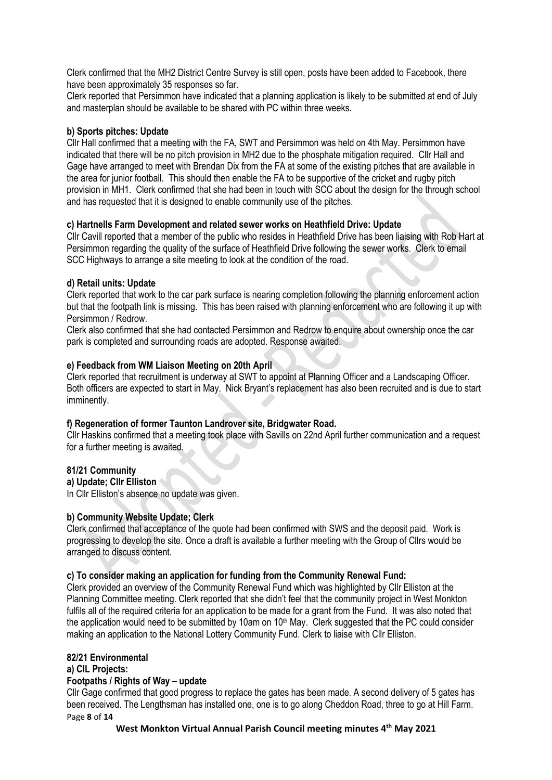Clerk confirmed that the MH2 District Centre Survey is still open, posts have been added to Facebook, there have been approximately 35 responses so far.

Clerk reported that Persimmon have indicated that a planning application is likely to be submitted at end of July and masterplan should be available to be shared with PC within three weeks.

#### **b) Sports pitches: Update**

Cllr Hall confirmed that a meeting with the FA, SWT and Persimmon was held on 4th May. Persimmon have indicated that there will be no pitch provision in MH2 due to the phosphate mitigation required. Cllr Hall and Gage have arranged to meet with Brendan Dix from the FA at some of the existing pitches that are available in the area for junior football. This should then enable the FA to be supportive of the cricket and rugby pitch provision in MH1. Clerk confirmed that she had been in touch with SCC about the design for the through school and has requested that it is designed to enable community use of the pitches.

#### **c) Hartnells Farm Development and related sewer works on Heathfield Drive: Update**

Cllr Cavill reported that a member of the public who resides in Heathfield Drive has been liaising with Rob Hart at Persimmon regarding the quality of the surface of Heathfield Drive following the sewer works. Clerk to email SCC Highways to arrange a site meeting to look at the condition of the road.

#### **d) Retail units: Update**

Clerk reported that work to the car park surface is nearing completion following the planning enforcement action but that the footpath link is missing. This has been raised with planning enforcement who are following it up with Persimmon / Redrow.

Clerk also confirmed that she had contacted Persimmon and Redrow to enquire about ownership once the car park is completed and surrounding roads are adopted. Response awaited.

#### **e) Feedback from WM Liaison Meeting on 20th April**

Clerk reported that recruitment is underway at SWT to appoint at Planning Officer and a Landscaping Officer. Both officers are expected to start in May. Nick Bryant's replacement has also been recruited and is due to start imminently.

#### **f) Regeneration of former Taunton Landrover site, Bridgwater Road.**

Cllr Haskins confirmed that a meeting took place with Savills on 22nd April further communication and a request for a further meeting is awaited.

## **81/21 Community**

**a) Update; Cllr Elliston**

In Cllr Elliston's absence no update was given.

#### **b) Community Website Update; Clerk**

Clerk confirmed that acceptance of the quote had been confirmed with SWS and the deposit paid. Work is progressing to develop the site. Once a draft is available a further meeting with the Group of Cllrs would be arranged to discuss content.

#### **c) To consider making an application for funding from the Community Renewal Fund:**

Clerk provided an overview of the Community Renewal Fund which was highlighted by Cllr Elliston at the Planning Committee meeting. Clerk reported that she didn't feel that the community project in West Monkton fulfils all of the required criteria for an application to be made for a grant from the Fund. It was also noted that the application would need to be submitted by 10am on 10<sup>th</sup> May. Clerk suggested that the PC could consider making an application to the National Lottery Community Fund. Clerk to liaise with Cllr Elliston.

## **82/21 Environmental**

#### **a) CIL Projects:**

#### **Footpaths / Rights of Way – update**

Page **8** of **14** Cllr Gage confirmed that good progress to replace the gates has been made. A second delivery of 5 gates has been received. The Lengthsman has installed one, one is to go along Cheddon Road, three to go at Hill Farm.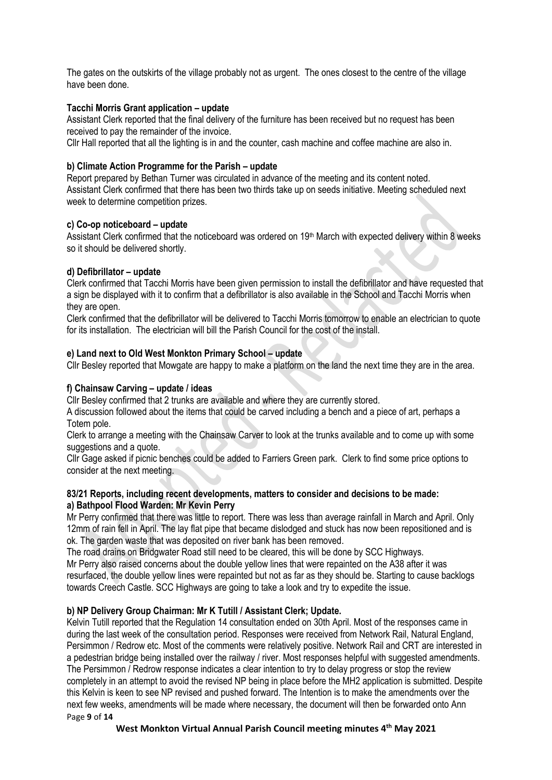The gates on the outskirts of the village probably not as urgent. The ones closest to the centre of the village have been done.

#### **Tacchi Morris Grant application – update**

Assistant Clerk reported that the final delivery of the furniture has been received but no request has been received to pay the remainder of the invoice.

Cllr Hall reported that all the lighting is in and the counter, cash machine and coffee machine are also in.

## **b) Climate Action Programme for the Parish – update**

Report prepared by Bethan Turner was circulated in advance of the meeting and its content noted. Assistant Clerk confirmed that there has been two thirds take up on seeds initiative. Meeting scheduled next week to determine competition prizes.

#### **c) Co-op noticeboard – update**

Assistant Clerk confirmed that the noticeboard was ordered on 19th March with expected delivery within 8 weeks so it should be delivered shortly.

#### **d) Defibrillator – update**

Clerk confirmed that Tacchi Morris have been given permission to install the defibrillator and have requested that a sign be displayed with it to confirm that a defibrillator is also available in the School and Tacchi Morris when they are open.

Clerk confirmed that the defibrillator will be delivered to Tacchi Morris tomorrow to enable an electrician to quote for its installation. The electrician will bill the Parish Council for the cost of the install.

#### **e) Land next to Old West Monkton Primary School – update**

Cllr Besley reported that Mowgate are happy to make a platform on the land the next time they are in the area.

#### **f) Chainsaw Carving – update / ideas**

Cllr Besley confirmed that 2 trunks are available and where they are currently stored.

A discussion followed about the items that could be carved including a bench and a piece of art, perhaps a Totem pole.

Clerk to arrange a meeting with the Chainsaw Carver to look at the trunks available and to come up with some suggestions and a quote.

Cllr Gage asked if picnic benches could be added to Farriers Green park. Clerk to find some price options to consider at the next meeting.

#### **83/21 Reports, including recent developments, matters to consider and decisions to be made: a) Bathpool Flood Warden: Mr Kevin Perry**

Mr Perry confirmed that there was little to report. There was less than average rainfall in March and April. Only 12mm of rain fell in April. The lay flat pipe that became dislodged and stuck has now been repositioned and is ok. The garden waste that was deposited on river bank has been removed.

The road drains on Bridgwater Road still need to be cleared, this will be done by SCC Highways. Mr Perry also raised concerns about the double yellow lines that were repainted on the A38 after it was resurfaced, the double yellow lines were repainted but not as far as they should be. Starting to cause backlogs towards Creech Castle. SCC Highways are going to take a look and try to expedite the issue.

## **b) NP Delivery Group Chairman: Mr K Tutill / Assistant Clerk; Update.**

Page **9** of **14** Kelvin Tutill reported that the Regulation 14 consultation ended on 30th April. Most of the responses came in during the last week of the consultation period. Responses were received from Network Rail, Natural England, Persimmon / Redrow etc. Most of the comments were relatively positive. Network Rail and CRT are interested in a pedestrian bridge being installed over the railway / river. Most responses helpful with suggested amendments. The Persimmon / Redrow response indicates a clear intention to try to delay progress or stop the review completely in an attempt to avoid the revised NP being in place before the MH2 application is submitted. Despite this Kelvin is keen to see NP revised and pushed forward. The Intention is to make the amendments over the next few weeks, amendments will be made where necessary, the document will then be forwarded onto Ann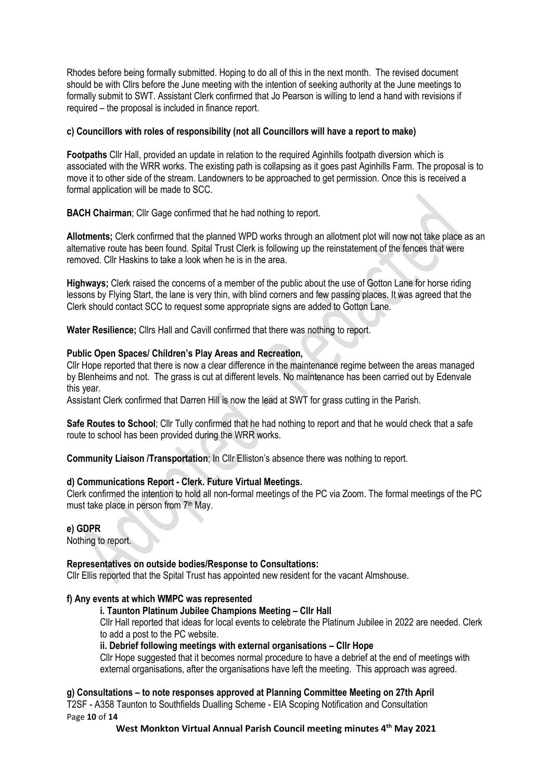Rhodes before being formally submitted. Hoping to do all of this in the next month. The revised document should be with Cllrs before the June meeting with the intention of seeking authority at the June meetings to formally submit to SWT. Assistant Clerk confirmed that Jo Pearson is willing to lend a hand with revisions if required – the proposal is included in finance report.

#### **c) Councillors with roles of responsibility (not all Councillors will have a report to make)**

**Footpaths** Cllr Hall, provided an update in relation to the required Aginhills footpath diversion which is associated with the WRR works. The existing path is collapsing as it goes past Aginhills Farm. The proposal is to move it to other side of the stream. Landowners to be approached to get permission. Once this is received a formal application will be made to SCC.

**BACH Chairman**; Cllr Gage confirmed that he had nothing to report.

**Allotments;** Clerk confirmed that the planned WPD works through an allotment plot will now not take place as an alternative route has been found. Spital Trust Clerk is following up the reinstatement of the fences that were removed. Cllr Haskins to take a look when he is in the area.

**Highways;** Clerk raised the concerns of a member of the public about the use of Gotton Lane for horse riding lessons by Flying Start, the lane is very thin, with blind corners and few passing places. It was agreed that the Clerk should contact SCC to request some appropriate signs are added to Gotton Lane.

**Water Resilience;** Cllrs Hall and Cavill confirmed that there was nothing to report.

#### **Public Open Spaces/ Children's Play Areas and Recreation,**

Cllr Hope reported that there is now a clear difference in the maintenance regime between the areas managed by Blenheims and not. The grass is cut at different levels. No maintenance has been carried out by Edenvale this year.

Assistant Clerk confirmed that Darren Hill is now the lead at SWT for grass cutting in the Parish.

**Safe Routes to School**; Cllr Tully confirmed that he had nothing to report and that he would check that a safe route to school has been provided during the WRR works.

**Community Liaison /Transportation**; In Cllr Elliston's absence there was nothing to report.

## **d) Communications Report - Clerk. Future Virtual Meetings.**

Clerk confirmed the intention to hold all non-formal meetings of the PC via Zoom. The formal meetings of the PC must take place in person from 7<sup>th</sup> May.

#### **e) GDPR**

Nothing to report.

#### **Representatives on outside bodies/Response to Consultations:**

Cllr Ellis reported that the Spital Trust has appointed new resident for the vacant Almshouse.

#### **f) Any events at which WMPC was represented**

#### **i. Taunton Platinum Jubilee Champions Meeting – Cllr Hall**

Cllr Hall reported that ideas for local events to celebrate the Platinum Jubilee in 2022 are needed. Clerk to add a post to the PC website.

#### **ii. Debrief following meetings with external organisations – Cllr Hope**

Cllr Hope suggested that it becomes normal procedure to have a debrief at the end of meetings with external organisations, after the organisations have left the meeting. This approach was agreed.

#### **g) Consultations – to note responses approved at Planning Committee Meeting on 27th April**

Page **10** of **14** T2SF - A358 Taunton to Southfields Dualling Scheme - EIA Scoping Notification and Consultation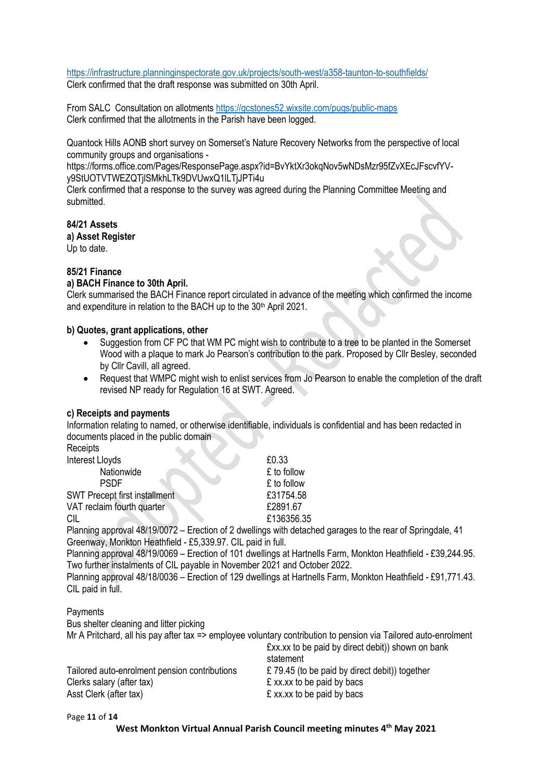<https://infrastructure.planninginspectorate.gov.uk/projects/south-west/a358-taunton-to-southfields/> Clerk confirmed that the draft response was submitted on 30th April.

From SALC Consultation on allotments<https://gcstones52.wixsite.com/pugs/public-maps> Clerk confirmed that the allotments in the Parish have been logged.

Quantock Hills AONB short survey on Somerset's Nature Recovery Networks from the perspective of local community groups and organisations -

https://forms.office.com/Pages/ResponsePage.aspx?id=BvYktXr3okqNov5wNDsMzr95fZvXEcJFscvfYVy9StUOTVTWEZQTjlSMkhLTk9DVUwxQ1lLTjJPTi4u

Clerk confirmed that a response to the survey was agreed during the Planning Committee Meeting and submitted.

## **84/21 Assets**

**a) Asset Register** 

## Up to date.

## **85/21 Finance**

## **a) BACH Finance to 30th April.**

Clerk summarised the BACH Finance report circulated in advance of the meeting which confirmed the income and expenditure in relation to the BACH up to the 30<sup>th</sup> April 2021.

#### **b) Quotes, grant applications, other**

- Suggestion from CF PC that WM PC might wish to contribute to a tree to be planted in the Somerset Wood with a plaque to mark Jo Pearson's contribution to the park. Proposed by Cllr Besley, seconded by Cllr Cavill, all agreed.
- Request that WMPC might wish to enlist services from Jo Pearson to enable the completion of the draft revised NP ready for Regulation 16 at SWT. Agreed.

## **c) Receipts and payments**

Information relating to named, or otherwise identifiable, individuals is confidential and has been redacted in documents placed in the public domain

| Receipts                                                                                                                                                                  |                                                                                                                                                                                   |
|---------------------------------------------------------------------------------------------------------------------------------------------------------------------------|-----------------------------------------------------------------------------------------------------------------------------------------------------------------------------------|
| Interest Lloyds                                                                                                                                                           | £0.33                                                                                                                                                                             |
| Nationwide                                                                                                                                                                | £ to follow                                                                                                                                                                       |
| <b>PSDF</b>                                                                                                                                                               | £ to follow                                                                                                                                                                       |
| <b>SWT Precept first installment</b>                                                                                                                                      | £31754.58                                                                                                                                                                         |
| VAT reclaim fourth quarter                                                                                                                                                | £2891.67                                                                                                                                                                          |
| CIL                                                                                                                                                                       | £136356.35                                                                                                                                                                        |
| Planning approval 48/19/0072 – Erection of 2 dwellings with detached garages to the rear of Springdale, 41<br>Greenway, Monkton Heathfield - £5,339.97. CIL paid in full. |                                                                                                                                                                                   |
| Two further instalments of CIL payable in November 2021 and October 2022.                                                                                                 | Planning approval 48/19/0069 - Erection of 101 dwellings at Hartnells Farm, Monkton Heathfield - £39,244.95.                                                                      |
| CIL paid in full.                                                                                                                                                         | Planning approval 48/18/0036 – Erection of 129 dwellings at Hartnells Farm, Monkton Heathfield - £91,771.43.                                                                      |
| Payments                                                                                                                                                                  |                                                                                                                                                                                   |
| Bus shelter cleaning and litter picking                                                                                                                                   |                                                                                                                                                                                   |
|                                                                                                                                                                           | Mr A Pritchard, all his pay after tax => employee voluntary contribution to pension via Tailored auto-enrolment<br>£xx.xx to be paid by direct debit)) shown on bank<br>statement |
| Tailored auto-enrolment pension contributions                                                                                                                             | £79.45 (to be paid by direct debit)) together                                                                                                                                     |
| Clerks salary (after tax)                                                                                                                                                 | £ xx.xx to be paid by bacs                                                                                                                                                        |
| Asst Clerk (after tax)                                                                                                                                                    | £ xx.xx to be paid by bacs                                                                                                                                                        |
|                                                                                                                                                                           |                                                                                                                                                                                   |

#### Page **11** of **14**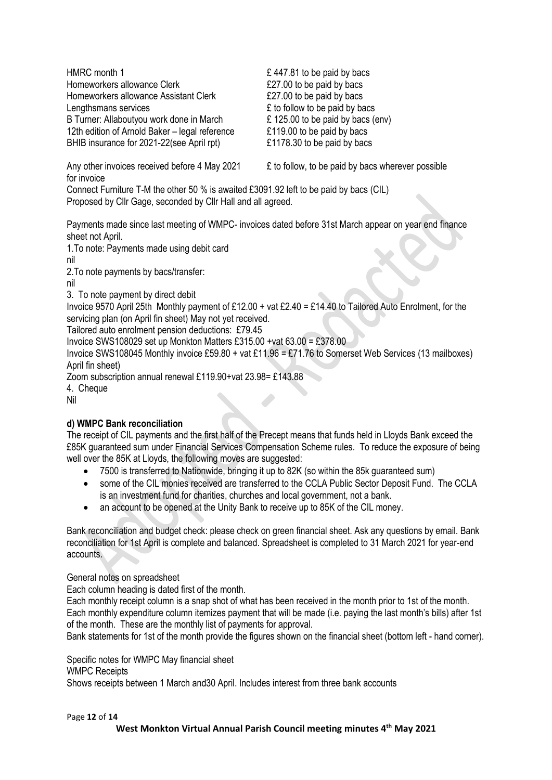HMRC month 1  $£ 447.81$  to be paid by bacs Homeworkers allowance Clerk **E27.00** to be paid by bacs Homeworkers allowance Assistant Clerk **E27.00** to be paid by bacs Lengthsmans services **E** to follow to be paid by bacs B Turner: Allaboutyou work done in March £ 125.00 to be paid by bacs (env) 12th edition of Arnold Baker – legal reference E119.00 to be paid by bacs BHIB insurance for 2021-22(see April rpt)  $£1178.30$  to be paid by bacs

for invoice

Any other invoices received before 4 May 2021  $\qquad E$  to follow, to be paid by bacs wherever possible

Connect Furniture T-M the other 50 % is awaited £3091.92 left to be paid by bacs (CIL) Proposed by Cllr Gage, seconded by Cllr Hall and all agreed.

Payments made since last meeting of WMPC- invoices dated before 31st March appear on year end finance sheet not April.

1.To note: Payments made using debit card

nil

2.To note payments by bacs/transfer:

nil

3. To note payment by direct debit

Invoice 9570 April 25th Monthly payment of £12.00 + vat £2.40 = £14.40 to Tailored Auto Enrolment, for the servicing plan (on April fin sheet) May not yet received.

Tailored auto enrolment pension deductions: £79.45

Invoice SWS108029 set up Monkton Matters £315.00 +vat 63.00 = £378.00

Invoice SWS108045 Monthly invoice £59.80 + vat £11.96 = £71.76 to Somerset Web Services (13 mailboxes) April fin sheet)

Zoom subscription annual renewal £119.90+vat 23.98= £143.88

4. Cheque

Nil

## **d) WMPC Bank reconciliation**

The receipt of CIL payments and the first half of the Precept means that funds held in Lloyds Bank exceed the £85K guaranteed sum under Financial Services Compensation Scheme rules. To reduce the exposure of being well over the 85K at Lloyds, the following moves are suggested:

- 7500 is transferred to Nationwide, bringing it up to 82K (so within the 85k guaranteed sum)
- some of the CIL monies received are transferred to the CCLA Public Sector Deposit Fund. The CCLA is an investment fund for charities, churches and local government, not a bank.
- an account to be opened at the Unity Bank to receive up to 85K of the CIL money.

Bank reconciliation and budget check: please check on green financial sheet. Ask any questions by email. Bank reconciliation for 1st April is complete and balanced. Spreadsheet is completed to 31 March 2021 for year-end accounts.

General notes on spreadsheet

Each column heading is dated first of the month.

Each monthly receipt column is a snap shot of what has been received in the month prior to 1st of the month. Each monthly expenditure column itemizes payment that will be made (i.e. paying the last month's bills) after 1st of the month. These are the monthly list of payments for approval.

Bank statements for 1st of the month provide the figures shown on the financial sheet (bottom left - hand corner).

Specific notes for WMPC May financial sheet

WMPC Receipts

Shows receipts between 1 March and30 April. Includes interest from three bank accounts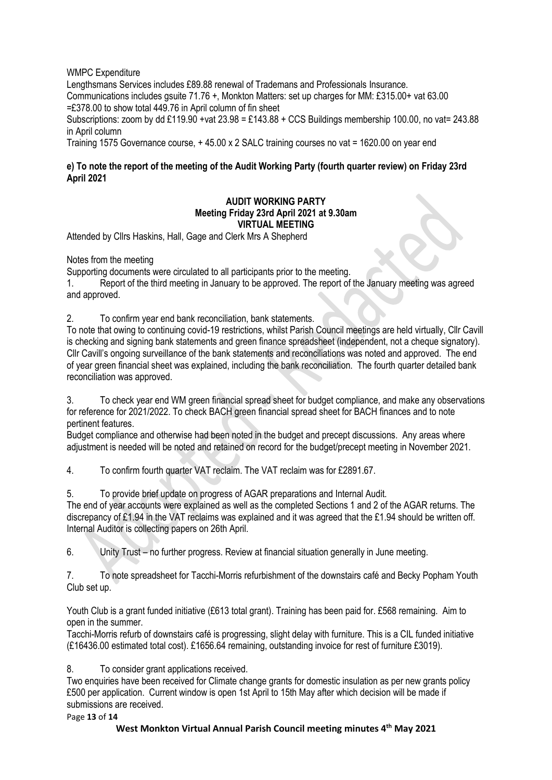## WMPC Expenditure

Lengthsmans Services includes £89.88 renewal of Trademans and Professionals Insurance. Communications includes gsuite 71.76 +, Monkton Matters: set up charges for MM: £315.00+ vat 63.00 =£378.00 to show total 449.76 in April column of fin sheet

Subscriptions: zoom by dd £119.90 +vat 23.98 = £143.88 + CCS Buildings membership 100.00, no vat= 243.88 in April column

Training 1575 Governance course, + 45.00 x 2 SALC training courses no vat = 1620.00 on year end

## **e) To note the report of the meeting of the Audit Working Party (fourth quarter review) on Friday 23rd April 2021**

## **AUDIT WORKING PARTY Meeting Friday 23rd April 2021 at 9.30am VIRTUAL MEETING**

Attended by Cllrs Haskins, Hall, Gage and Clerk Mrs A Shepherd

Notes from the meeting

Supporting documents were circulated to all participants prior to the meeting.

1. Report of the third meeting in January to be approved. The report of the January meeting was agreed and approved.

2. To confirm year end bank reconciliation, bank statements.

To note that owing to continuing covid-19 restrictions, whilst Parish Council meetings are held virtually, Cllr Cavill is checking and signing bank statements and green finance spreadsheet (independent, not a cheque signatory). Cllr Cavill's ongoing surveillance of the bank statements and reconciliations was noted and approved. The end of year green financial sheet was explained, including the bank reconciliation. The fourth quarter detailed bank reconciliation was approved.

3. To check year end WM green financial spread sheet for budget compliance, and make any observations for reference for 2021/2022. To check BACH green financial spread sheet for BACH finances and to note pertinent features.

Budget compliance and otherwise had been noted in the budget and precept discussions. Any areas where adjustment is needed will be noted and retained on record for the budget/precept meeting in November 2021.

4. To confirm fourth quarter VAT reclaim. The VAT reclaim was for £2891.67.

5. To provide brief update on progress of AGAR preparations and Internal Audit.

The end of year accounts were explained as well as the completed Sections 1 and 2 of the AGAR returns. The discrepancy of £1.94 in the VAT reclaims was explained and it was agreed that the £1.94 should be written off. Internal Auditor is collecting papers on 26th April.

6. Unity Trust – no further progress. Review at financial situation generally in June meeting.

7. To note spreadsheet for Tacchi-Morris refurbishment of the downstairs café and Becky Popham Youth Club set up.

Youth Club is a grant funded initiative (£613 total grant). Training has been paid for. £568 remaining. Aim to open in the summer.

Tacchi-Morris refurb of downstairs café is progressing, slight delay with furniture. This is a CIL funded initiative (£16436.00 estimated total cost). £1656.64 remaining, outstanding invoice for rest of furniture £3019).

8. To consider grant applications received.

Two enquiries have been received for Climate change grants for domestic insulation as per new grants policy £500 per application. Current window is open 1st April to 15th May after which decision will be made if submissions are received.

Page **13** of **14**